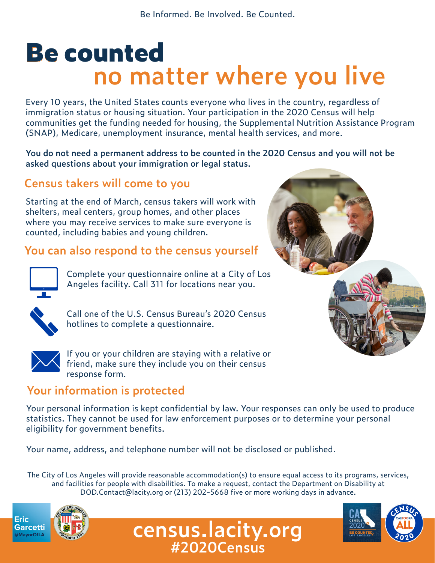Be Informed. Be Involved. Be Counted.

# **Be counted no matter where you live**

Every 10 years, the United States counts everyone who lives in the country, regardless of immigration status or housing situation. Your participation in the 2020 Census will help communities get the funding needed for housing, the Supplemental Nutrition Assistance Program (SNAP), Medicare, unemployment insurance, mental health services, and more.

**You do not need a permanent address to be counted in the 2020 Census and you will not be asked questions about your immigration or legal status.**

# **Census takers will come to you**

Starting at the end of March, census takers will work with shelters, meal centers, group homes, and other places where you may receive services to make sure everyone is counted, including babies and young children.

### **You can also respond to the census yourself**



Complete your questionnaire online at a City of Los Angeles facility. Call 311 for locations near you.



Call one of the U.S. Census Bureau's 2020 Census hotlines to complete a questionnaire.



If you or your children are staying with a relative or friend, make sure they include you on their census response form.

## **Your information is protected**

Your personal information is kept confidential by law. Your responses can only be used to produce statistics. They cannot be used for law enforcement purposes or to determine your personal eligibility for government benefits.

Your name, address, and telephone number will not be disclosed or published.

The City of Los Angeles will provide reasonable accommodation(s) to ensure equal access to its programs, services, and facilities for people with disabilities. To make a request, contact the Department on Disability at DOD.Contact@lacity.org or (213) 202-5668 five or more working days in advance.

**census.lacity.org**

**#2020Census**